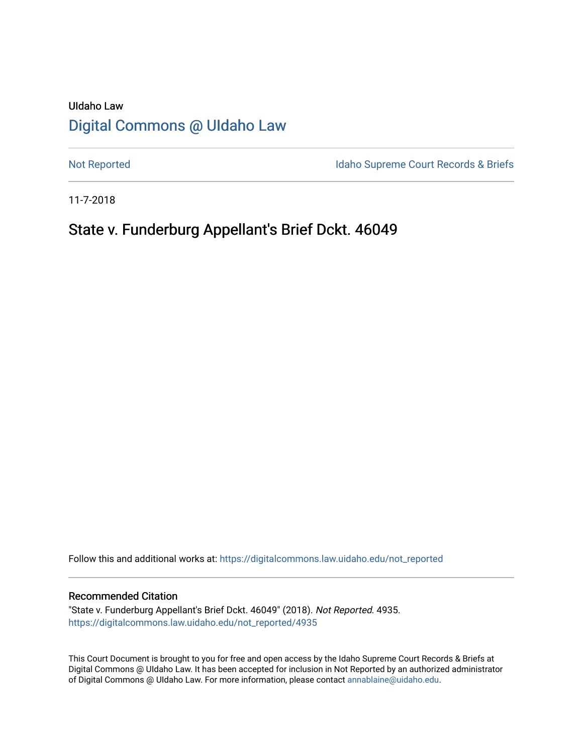# UIdaho Law [Digital Commons @ UIdaho Law](https://digitalcommons.law.uidaho.edu/)

[Not Reported](https://digitalcommons.law.uidaho.edu/not_reported) **Idaho Supreme Court Records & Briefs** 

11-7-2018

# State v. Funderburg Appellant's Brief Dckt. 46049

Follow this and additional works at: [https://digitalcommons.law.uidaho.edu/not\\_reported](https://digitalcommons.law.uidaho.edu/not_reported?utm_source=digitalcommons.law.uidaho.edu%2Fnot_reported%2F4935&utm_medium=PDF&utm_campaign=PDFCoverPages) 

### Recommended Citation

"State v. Funderburg Appellant's Brief Dckt. 46049" (2018). Not Reported. 4935. [https://digitalcommons.law.uidaho.edu/not\\_reported/4935](https://digitalcommons.law.uidaho.edu/not_reported/4935?utm_source=digitalcommons.law.uidaho.edu%2Fnot_reported%2F4935&utm_medium=PDF&utm_campaign=PDFCoverPages)

This Court Document is brought to you for free and open access by the Idaho Supreme Court Records & Briefs at Digital Commons @ UIdaho Law. It has been accepted for inclusion in Not Reported by an authorized administrator of Digital Commons @ UIdaho Law. For more information, please contact [annablaine@uidaho.edu](mailto:annablaine@uidaho.edu).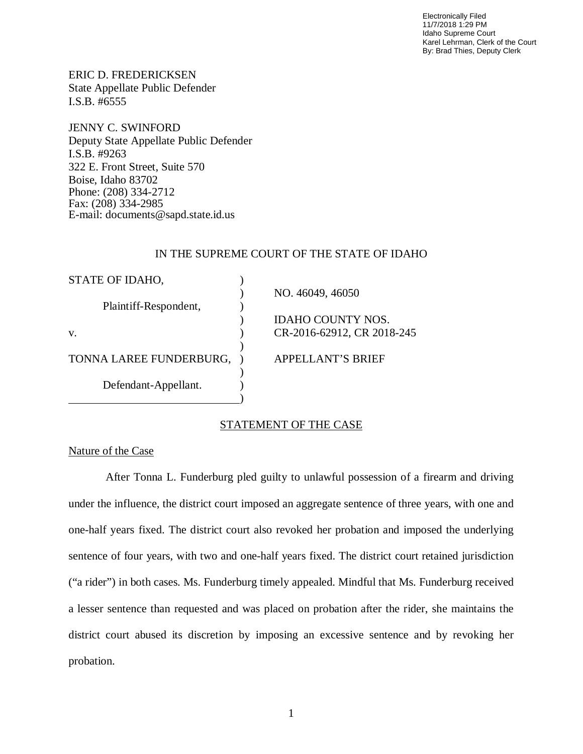Electronically Filed 11/7/2018 1:29 PM Idaho Supreme Court Karel Lehrman, Clerk of the Court By: Brad Thies, Deputy Clerk

ERIC D. FREDERICKSEN State Appellate Public Defender I.S.B. #6555

JENNY C. SWINFORD Deputy State Appellate Public Defender I.S.B. #9263 322 E. Front Street, Suite 570 Boise, Idaho 83702 Phone: (208) 334-2712 Fax: (208) 334-2985 E-mail: documents@sapd.state.id.us

## IN THE SUPREME COURT OF THE STATE OF IDAHO

| STATE OF IDAHO,         |                            |
|-------------------------|----------------------------|
|                         | NO. 46049, 46050           |
| Plaintiff-Respondent,   |                            |
|                         | IDAHO COUNTY NOS.          |
| V.                      | CR-2016-62912, CR 2018-245 |
|                         |                            |
| TONNA LAREE FUNDERBURG, | APPELLANT'S BRIEF          |
|                         |                            |
| Defendant-Appellant.    |                            |
|                         |                            |

## STATEMENT OF THE CASE

# Nature of the Case

 After Tonna L. Funderburg pled guilty to unlawful possession of a firearm and driving under the influence, the district court imposed an aggregate sentence of three years, with one and one-half years fixed. The district court also revoked her probation and imposed the underlying sentence of four years, with two and one-half years fixed. The district court retained jurisdiction ("a rider") in both cases. Ms. Funderburg timely appealed. Mindful that Ms. Funderburg received a lesser sentence than requested and was placed on probation after the rider, she maintains the district court abused its discretion by imposing an excessive sentence and by revoking her probation.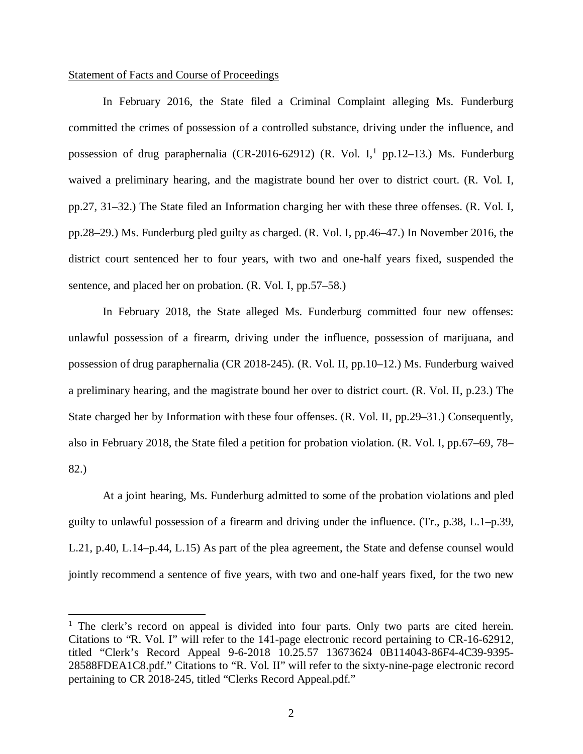### Statement of Facts and Course of Proceedings

In February 2016, the State filed a Criminal Complaint alleging Ms. Funderburg committed the crimes of possession of a controlled substance, driving under the influence, and possession of drug paraphernalia (CR-20[1](#page-2-0)6-62912) (R. Vol. I,<sup>1</sup> pp.12–13.) Ms. Funderburg waived a preliminary hearing, and the magistrate bound her over to district court. (R. Vol. I, pp.27, 31–32.) The State filed an Information charging her with these three offenses. (R. Vol. I, pp.28–29.) Ms. Funderburg pled guilty as charged. (R. Vol. I, pp.46–47.) In November 2016, the district court sentenced her to four years, with two and one-half years fixed, suspended the sentence, and placed her on probation. (R. Vol. I, pp.57–58.)

In February 2018, the State alleged Ms. Funderburg committed four new offenses: unlawful possession of a firearm, driving under the influence, possession of marijuana, and possession of drug paraphernalia (CR 2018-245). (R. Vol. II, pp.10–12.) Ms. Funderburg waived a preliminary hearing, and the magistrate bound her over to district court. (R. Vol. II, p.23.) The State charged her by Information with these four offenses. (R. Vol. II, pp.29–31.) Consequently, also in February 2018, the State filed a petition for probation violation. (R. Vol. I, pp.67–69, 78– 82.)

At a joint hearing, Ms. Funderburg admitted to some of the probation violations and pled guilty to unlawful possession of a firearm and driving under the influence. (Tr., p.38, L.1–p.39, L.21, p.40, L.14–p.44, L.15) As part of the plea agreement, the State and defense counsel would jointly recommend a sentence of five years, with two and one-half years fixed, for the two new

<span id="page-2-0"></span><sup>&</sup>lt;sup>1</sup> The clerk's record on appeal is divided into four parts. Only two parts are cited herein. Citations to "R. Vol. I" will refer to the 141-page electronic record pertaining to CR-16-62912, titled "Clerk's Record Appeal 9-6-2018 10.25.57 13673624 0B114043-86F4-4C39-9395- 28588FDEA1C8.pdf." Citations to "R. Vol. II" will refer to the sixty-nine-page electronic record pertaining to CR 2018-245, titled "Clerks Record Appeal.pdf."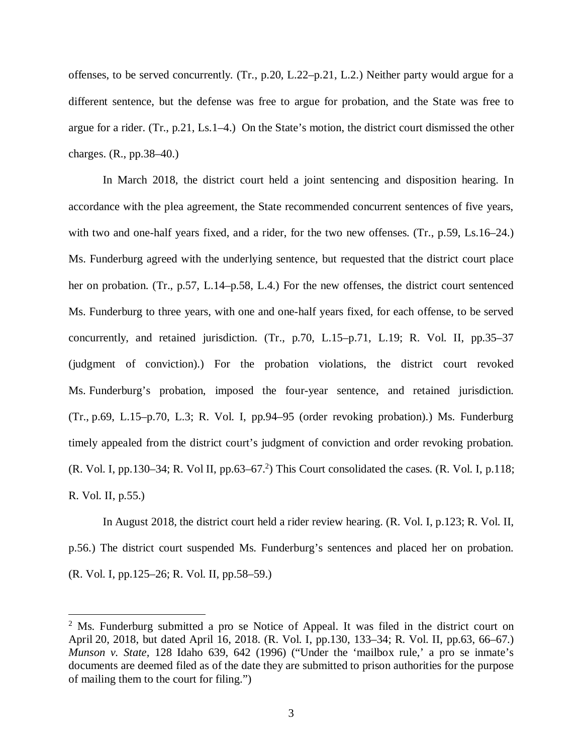offenses, to be served concurrently. (Tr., p.20, L.22–p.21, L.2.) Neither party would argue for a different sentence, but the defense was free to argue for probation, and the State was free to argue for a rider. (Tr., p.21, Ls.1–4.) On the State's motion, the district court dismissed the other charges. (R., pp.38–40.)

In March 2018, the district court held a joint sentencing and disposition hearing. In accordance with the plea agreement, the State recommended concurrent sentences of five years, with two and one-half years fixed, and a rider, for the two new offenses. (Tr., p.59, Ls.16–24.) Ms. Funderburg agreed with the underlying sentence, but requested that the district court place her on probation. (Tr., p.57, L.14–p.58, L.4.) For the new offenses, the district court sentenced Ms. Funderburg to three years, with one and one-half years fixed, for each offense, to be served concurrently, and retained jurisdiction. (Tr., p.70, L.15–p.71, L.19; R. Vol. II, pp.35–37 (judgment of conviction).) For the probation violations, the district court revoked Ms. Funderburg's probation, imposed the four-year sentence, and retained jurisdiction. (Tr., p.69, L.15–p.70, L.3; R. Vol. I, pp.94–95 (order revoking probation).) Ms. Funderburg timely appealed from the district court's judgment of conviction and order revoking probation.  $(R. Vol. I, pp.130–34; R. Vol II, pp.63–67<sup>2</sup>)$  $(R. Vol. I, pp.130–34; R. Vol II, pp.63–67<sup>2</sup>)$  $(R. Vol. I, pp.130–34; R. Vol II, pp.63–67<sup>2</sup>)$  This Court consolidated the cases.  $(R. Vol. I, p.118;$ R. Vol. II, p.55.)

In August 2018, the district court held a rider review hearing. (R. Vol. I, p.123; R. Vol. II, p.56.) The district court suspended Ms. Funderburg's sentences and placed her on probation. (R. Vol. I, pp.125–26; R. Vol. II, pp.58–59.)

<span id="page-3-0"></span><sup>&</sup>lt;sup>2</sup> Ms. Funderburg submitted a pro se Notice of Appeal. It was filed in the district court on April 20, 2018, but dated April 16, 2018. (R. Vol. I, pp.130, 133–34; R. Vol. II, pp.63, 66–67.) *Munson v. State,* 128 Idaho 639, 642 (1996) ("Under the 'mailbox rule,' a pro se inmate's documents are deemed filed as of the date they are submitted to prison authorities for the purpose of mailing them to the court for filing.")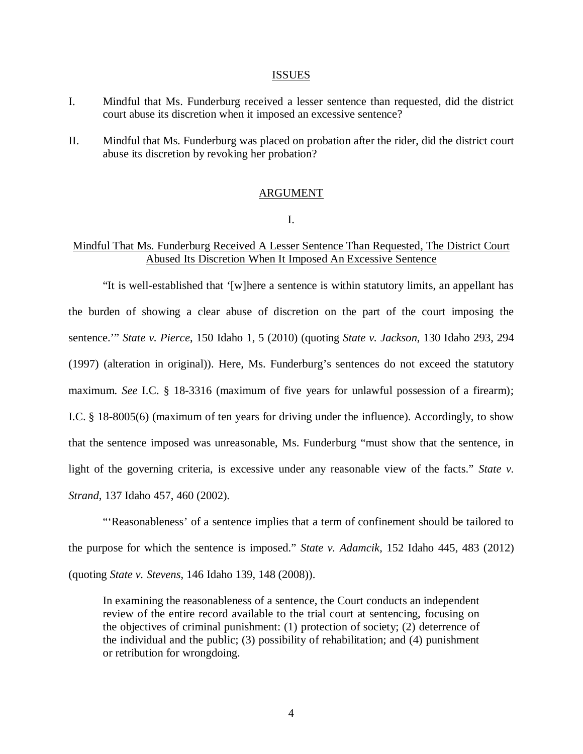#### ISSUES

- I. Mindful that Ms. Funderburg received a lesser sentence than requested, did the district court abuse its discretion when it imposed an excessive sentence?
- II. Mindful that Ms. Funderburg was placed on probation after the rider, did the district court abuse its discretion by revoking her probation?

#### ARGUMENT

I.

# Mindful That Ms. Funderburg Received A Lesser Sentence Than Requested, The District Court Abused Its Discretion When It Imposed An Excessive Sentence

"It is well-established that '[w]here a sentence is within statutory limits, an appellant has the burden of showing a clear abuse of discretion on the part of the court imposing the sentence.'" *State v. Pierce*, 150 Idaho 1, 5 (2010) (quoting *State v. Jackson*, 130 Idaho 293, 294 (1997) (alteration in original)). Here, Ms. Funderburg's sentences do not exceed the statutory maximum. *See* I.C. § 18-3316 (maximum of five years for unlawful possession of a firearm); I.C. § 18-8005(6) (maximum of ten years for driving under the influence). Accordingly, to show that the sentence imposed was unreasonable, Ms. Funderburg "must show that the sentence, in light of the governing criteria, is excessive under any reasonable view of the facts." *State v. Strand*, 137 Idaho 457, 460 (2002).

"'Reasonableness' of a sentence implies that a term of confinement should be tailored to the purpose for which the sentence is imposed." *State v. Adamcik*, 152 Idaho 445, 483 (2012) (quoting *State v. Stevens*, 146 Idaho 139, 148 (2008)).

In examining the reasonableness of a sentence, the Court conducts an independent review of the entire record available to the trial court at sentencing, focusing on the objectives of criminal punishment: (1) protection of society; (2) deterrence of the individual and the public; (3) possibility of rehabilitation; and (4) punishment or retribution for wrongdoing.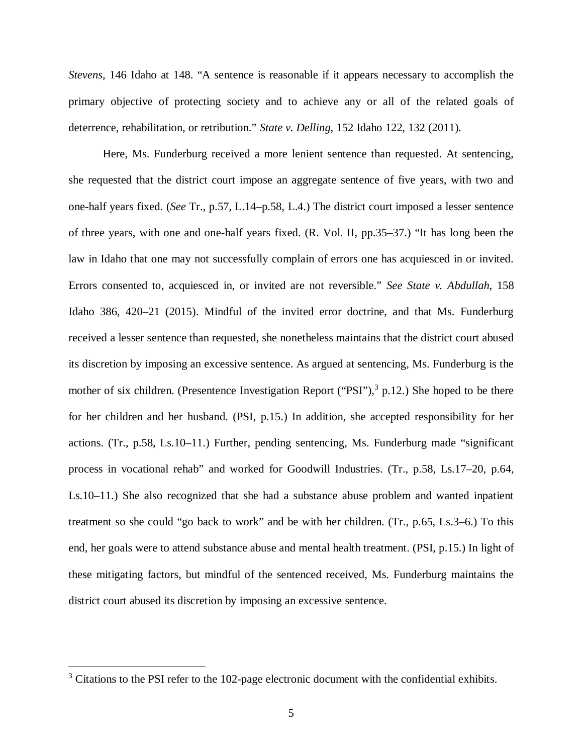*Stevens*, 146 Idaho at 148. "A sentence is reasonable if it appears necessary to accomplish the primary objective of protecting society and to achieve any or all of the related goals of deterrence, rehabilitation, or retribution." *State v. Delling*, 152 Idaho 122, 132 (2011).

Here, Ms. Funderburg received a more lenient sentence than requested. At sentencing, she requested that the district court impose an aggregate sentence of five years, with two and one-half years fixed. (*See* Tr., p.57, L.14–p.58, L.4.) The district court imposed a lesser sentence of three years, with one and one-half years fixed. (R. Vol. II, pp.35–37.) "It has long been the law in Idaho that one may not successfully complain of errors one has acquiesced in or invited. Errors consented to, acquiesced in, or invited are not reversible." *See State v. Abdullah*, 158 Idaho 386, 420–21 (2015). Mindful of the invited error doctrine, and that Ms. Funderburg received a lesser sentence than requested, she nonetheless maintains that the district court abused its discretion by imposing an excessive sentence. As argued at sentencing, Ms. Funderburg is the mother of six children. (Presentence Investigation Report ("PSI"),<sup>[3](#page-5-0)</sup> p.12.) She hoped to be there for her children and her husband. (PSI, p.15.) In addition, she accepted responsibility for her actions. (Tr., p.58, Ls.10–11.) Further, pending sentencing, Ms. Funderburg made "significant process in vocational rehab" and worked for Goodwill Industries. (Tr., p.58, Ls.17–20, p.64, Ls.10–11.) She also recognized that she had a substance abuse problem and wanted inpatient treatment so she could "go back to work" and be with her children. (Tr., p.65, Ls.3–6.) To this end, her goals were to attend substance abuse and mental health treatment. (PSI, p.15.) In light of these mitigating factors, but mindful of the sentenced received, Ms. Funderburg maintains the district court abused its discretion by imposing an excessive sentence.

<span id="page-5-0"></span> $3$  Citations to the PSI refer to the 102-page electronic document with the confidential exhibits.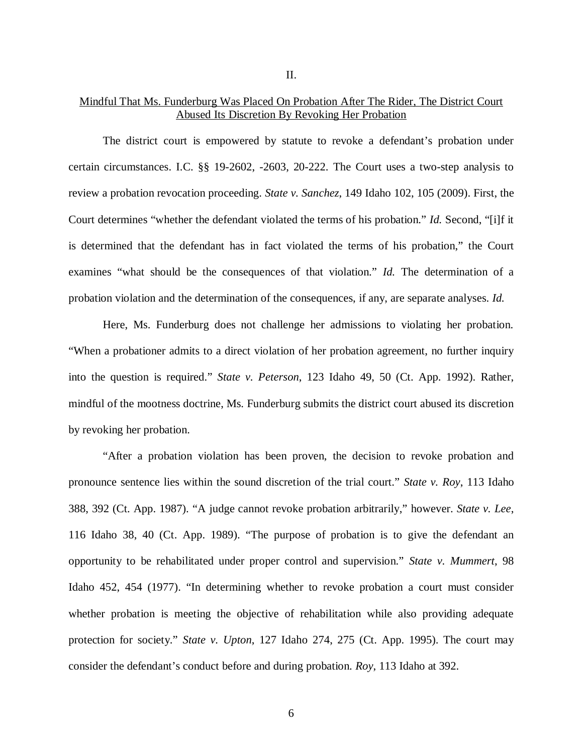## Mindful That Ms. Funderburg Was Placed On Probation After The Rider, The District Court Abused Its Discretion By Revoking Her Probation

The district court is empowered by statute to revoke a defendant's probation under certain circumstances. I.C. §§ 19-2602, -2603, 20-222. The Court uses a two-step analysis to review a probation revocation proceeding. *State v. Sanchez*, 149 Idaho 102, 105 (2009). First, the Court determines "whether the defendant violated the terms of his probation." *Id.* Second, "[i]f it is determined that the defendant has in fact violated the terms of his probation," the Court examines "what should be the consequences of that violation." *Id.* The determination of a probation violation and the determination of the consequences, if any, are separate analyses. *Id.*

Here, Ms. Funderburg does not challenge her admissions to violating her probation. "When a probationer admits to a direct violation of her probation agreement, no further inquiry into the question is required." *State v. Peterson*, 123 Idaho 49, 50 (Ct. App. 1992). Rather, mindful of the mootness doctrine, Ms. Funderburg submits the district court abused its discretion by revoking her probation.

"After a probation violation has been proven, the decision to revoke probation and pronounce sentence lies within the sound discretion of the trial court." *State v. Roy*, 113 Idaho 388, 392 (Ct. App. 1987). "A judge cannot revoke probation arbitrarily," however. *State v. Lee*, 116 Idaho 38, 40 (Ct. App. 1989). "The purpose of probation is to give the defendant an opportunity to be rehabilitated under proper control and supervision." *State v. Mummert*, 98 Idaho 452, 454 (1977). "In determining whether to revoke probation a court must consider whether probation is meeting the objective of rehabilitation while also providing adequate protection for society." *State v. Upton*, 127 Idaho 274, 275 (Ct. App. 1995). The court may consider the defendant's conduct before and during probation. *Roy*, 113 Idaho at 392.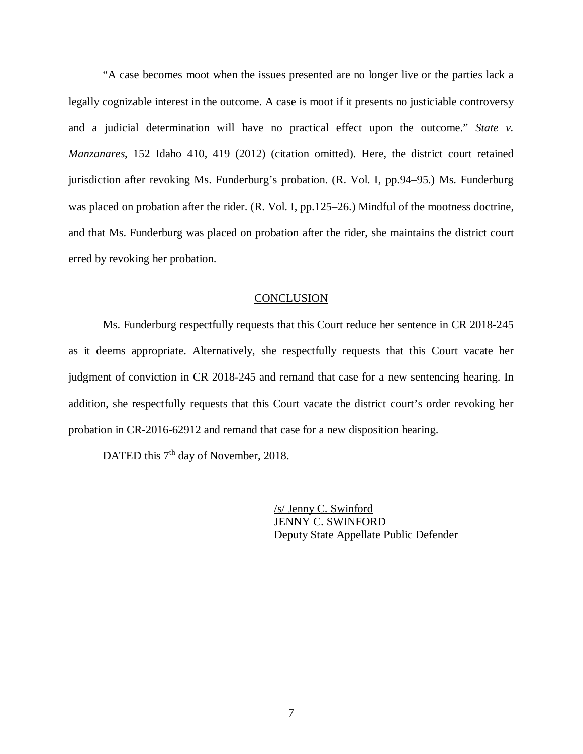"A case becomes moot when the issues presented are no longer live or the parties lack a legally cognizable interest in the outcome. A case is moot if it presents no justiciable controversy and a judicial determination will have no practical effect upon the outcome." *State v. Manzanares*, 152 Idaho 410, 419 (2012) (citation omitted). Here, the district court retained jurisdiction after revoking Ms. Funderburg's probation. (R. Vol. I, pp.94–95.) Ms. Funderburg was placed on probation after the rider. (R. Vol. I, pp.125–26.) Mindful of the mootness doctrine, and that Ms. Funderburg was placed on probation after the rider, she maintains the district court erred by revoking her probation.

# **CONCLUSION**

Ms. Funderburg respectfully requests that this Court reduce her sentence in CR 2018-245 as it deems appropriate. Alternatively, she respectfully requests that this Court vacate her judgment of conviction in CR 2018-245 and remand that case for a new sentencing hearing. In addition, she respectfully requests that this Court vacate the district court's order revoking her probation in CR-2016-62912 and remand that case for a new disposition hearing.

DATED this 7<sup>th</sup> day of November, 2018.

/s/ Jenny C. Swinford JENNY C. SWINFORD Deputy State Appellate Public Defender